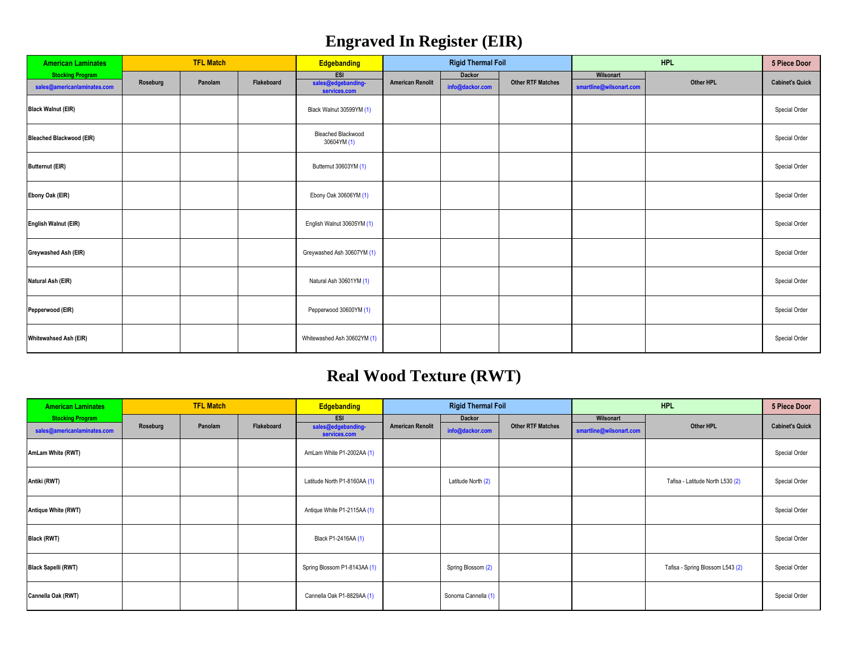## **Engraved In Register (EIR)**

| <b>American Laminates</b>       | <b>TFL Match</b> |         |            | <b>Edgebanding</b>                       |                         | <b>Rigid Thermal Foil</b> |                          |                         | 5 Piece Door |                        |
|---------------------------------|------------------|---------|------------|------------------------------------------|-------------------------|---------------------------|--------------------------|-------------------------|--------------|------------------------|
| <b>Stocking Program</b>         | Roseburg         | Panolam | Flakeboard | ESI<br>sales@edgebanding-                | <b>American Renolit</b> | Dackor                    | <b>Other RTF Matches</b> | Wilsonart               | Other HPL    | <b>Cabinet's Quick</b> |
| sales@americanlaminates.com     |                  |         |            | services.com                             |                         | info@dackor.com           |                          | smartline@wilsonart.com |              |                        |
| <b>Black Walnut (EIR)</b>       |                  |         |            | Black Walnut 30599YM (1)                 |                         |                           |                          |                         |              | Special Order          |
| <b>Bleached Blackwood (EIR)</b> |                  |         |            | <b>Bleached Blackwood</b><br>30604YM (1) |                         |                           |                          |                         |              | Special Order          |
| <b>Butternut (EIR)</b>          |                  |         |            | Butternut 30603YM (1)                    |                         |                           |                          |                         |              | Special Order          |
| Ebony Oak (EIR)                 |                  |         |            | Ebony Oak 30606YM (1)                    |                         |                           |                          |                         |              | Special Order          |
| <b>English Walnut (EIR)</b>     |                  |         |            | English Walnut 30605YM (1)               |                         |                           |                          |                         |              | Special Order          |
| Greywashed Ash (EIR)            |                  |         |            | Greywashed Ash 30607YM (1)               |                         |                           |                          |                         |              | Special Order          |
| Natural Ash (EIR)               |                  |         |            | Natural Ash 30601YM (1)                  |                         |                           |                          |                         |              | Special Order          |
| Pepperwood (EIR)                |                  |         |            | Pepperwood 30600YM (1)                   |                         |                           |                          |                         |              | Special Order          |
| <b>Whitewahsed Ash (EIR)</b>    |                  |         |            | Whitewashed Ash 30602YM (1)              |                         |                           |                          |                         |              | Special Order          |

## **Real Wood Texture (RWT)**

| <b>American Laminates</b>   | <b>TFL Match</b> |         |            | <b>Rigid Thermal Foil</b><br>Edgebanding |                         |                     |                          |                         | 5 Piece Door                     |                        |
|-----------------------------|------------------|---------|------------|------------------------------------------|-------------------------|---------------------|--------------------------|-------------------------|----------------------------------|------------------------|
| <b>Stocking Program</b>     |                  |         |            | ESI                                      |                         | Dackor              |                          | Wilsonart               |                                  |                        |
| sales@americanlaminates.com | Roseburg         | Panolam | Flakeboard | sales@edgebanding-<br>services.com       | <b>American Renolit</b> | info@dackor.com     | <b>Other RTF Matches</b> | smartline@wilsonart.com | Other HPL                        | <b>Cabinet's Quick</b> |
| AmLam White (RWT)           |                  |         |            | AmLam White P1-2002AA (1)                |                         |                     |                          |                         |                                  | Special Order          |
| Antiki (RWT)                |                  |         |            | Latitude North P1-8160AA (1)             |                         | Latitude North (2)  |                          |                         | Tafisa - Latitude North L530 (2) | Special Order          |
| <b>Antique White (RWT)</b>  |                  |         |            | Antique White P1-2115AA (1)              |                         |                     |                          |                         |                                  | Special Order          |
| <b>Black (RWT)</b>          |                  |         |            | Black P1-2416AA (1)                      |                         |                     |                          |                         |                                  | Special Order          |
| <b>Black Sapelli (RWT)</b>  |                  |         |            | Spring Blossom P1-8143AA (1)             |                         | Spring Blossom (2)  |                          |                         | Tafisa - Spring Blossom L543 (2) | Special Order          |
| Cannella Oak (RWT)          |                  |         |            | Cannella Oak P1-8829AA (1)               |                         | Sonoma Cannella (1) |                          |                         |                                  | Special Order          |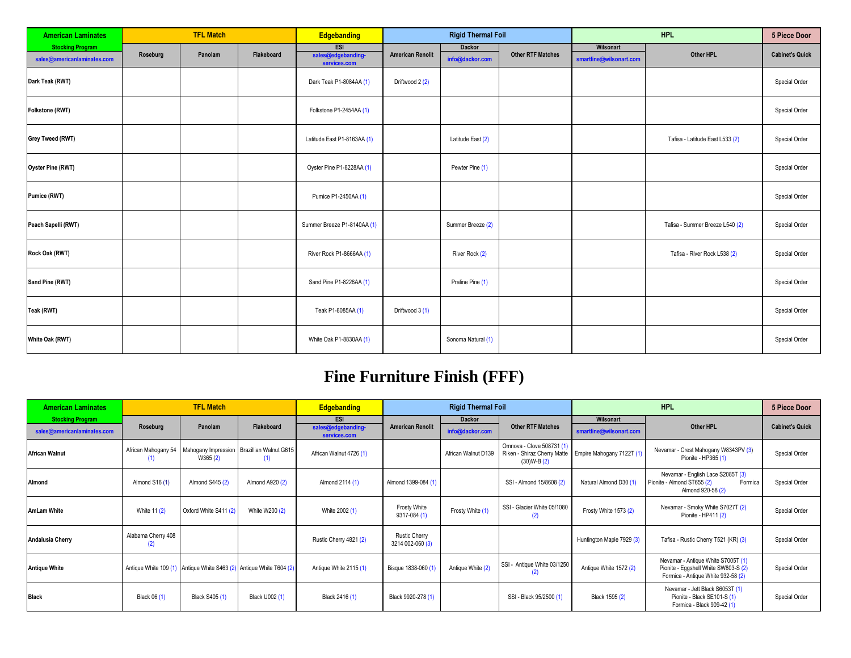| <b>American Laminates</b>                              | <b>TFL Match</b> |         |            | Edgebanding                               |                         | <b>Rigid Thermal Foil</b> |                          |                                      | 5 Piece Door                    |                        |
|--------------------------------------------------------|------------------|---------|------------|-------------------------------------------|-------------------------|---------------------------|--------------------------|--------------------------------------|---------------------------------|------------------------|
| <b>Stocking Program</b><br>sales@americanlaminates.com | Roseburg         | Panolam | Flakeboard | ESI<br>sales@edgebanding-<br>services.com | <b>American Renolit</b> | Dackor<br>info@dackor.com | <b>Other RTF Matches</b> | Wilsonart<br>smartline@wilsonart.com | Other HPL                       | <b>Cabinet's Quick</b> |
| Dark Teak (RWT)                                        |                  |         |            | Dark Teak P1-8084AA (1)                   | Driftwood 2 (2)         |                           |                          |                                      |                                 | Special Order          |
| Folkstone (RWT)                                        |                  |         |            | Folkstone P1-2454AA (1)                   |                         |                           |                          |                                      |                                 | Special Order          |
| Grey Tweed (RWT)                                       |                  |         |            | Latitude East P1-8163AA (1)               |                         | Latitude East (2)         |                          |                                      | Tafisa - Latitude East L533 (2) | Special Order          |
| <b>Oyster Pine (RWT)</b>                               |                  |         |            | Oyster Pine P1-8228AA (1)                 |                         | Pewter Pine (1)           |                          |                                      |                                 | Special Order          |
| Pumice (RWT)                                           |                  |         |            | Pumice P1-2450AA (1)                      |                         |                           |                          |                                      |                                 | Special Order          |
| Peach Sapelli (RWT)                                    |                  |         |            | Summer Breeze P1-8140AA (1)               |                         | Summer Breeze (2)         |                          |                                      | Tafisa - Summer Breeze L540 (2) | Special Order          |
| Rock Oak (RWT)                                         |                  |         |            | River Rock P1-8666AA (1)                  |                         | River Rock (2)            |                          |                                      | Tafisa - River Rock L538 (2)    | Special Order          |
| Sand Pine (RWT)                                        |                  |         |            | Sand Pine P1-8226AA (1)                   |                         | Praline Pine (1)          |                          |                                      |                                 | Special Order          |
| Teak (RWT)                                             |                  |         |            | Teak P1-8085AA (1)                        | Driftwood 3 (1)         |                           |                          |                                      |                                 | Special Order          |
| White Oak (RWT)                                        |                  |         |            | White Oak P1-8830AA (1)                   |                         | Sonoma Natural (1)        |                          |                                      |                                 | Special Order          |

## **Fine Furniture Finish (FFF)**

| <b>American Laminates</b>   | <b>TFL Match</b>           |                       |                                                                     | <b>Edgebanding</b>                 | <b>Rigid Thermal Foil</b>                |                     |                                                                          |                           | <b>5 Piece Door</b>                                                                                              |                        |
|-----------------------------|----------------------------|-----------------------|---------------------------------------------------------------------|------------------------------------|------------------------------------------|---------------------|--------------------------------------------------------------------------|---------------------------|------------------------------------------------------------------------------------------------------------------|------------------------|
| <b>Stocking Program</b>     |                            |                       |                                                                     | <b>ESI</b>                         |                                          | <b>Dackor</b>       |                                                                          | Wilsonart                 |                                                                                                                  |                        |
| sales@americanlaminates.com | Roseburg                   | Panolam               | Flakeboard                                                          | sales@edgebanding-<br>services.com | <b>American Renolit</b>                  | info@dackor.com     | <b>Other RTF Matches</b>                                                 | smartline@wilsonart.com   | Other HPL                                                                                                        | <b>Cabinet's Quick</b> |
| <b>African Walnut</b>       | African Mahogany 54<br>(1) | W365 (2)              | Mahogany Impression   Brazillian Walnut G615<br>(1)                 | African Walnut 4726 (1)            |                                          | African Walnut D139 | Omnova - Clove 508731 (1)<br>Riken - Shiraz Cherry Matte<br>$(30)W-B(2)$ | Empire Mahogany 7122T (1) | Nevamar - Crest Mahogany W8343PV (3)<br>Pionite - HP365 (1)                                                      | Special Order          |
| Almond                      | Almond S16 (1)             | Almond S445 (2)       | Almond A920 (2)                                                     | Almond 2114 (1)                    | Almond 1399-084 (1)                      |                     | SSI - Almond 15/8608 (2)                                                 | Natural Almond D30 (1)    | Nevamar - English Lace S2085T (3)<br>Pionite - Almond ST655 (2)<br>Formica<br>Almond 920-58 (2)                  | Special Order          |
| <b>AmLam White</b>          | White 11 (2)               | Oxford White S411 (2) | White W200 (2)                                                      | White 2002 (1)                     | <b>Frosty White</b><br>9317-084 (1)      | Frosty White (1)    | SSI - Glacier White 05/1080<br>(2)                                       | Frosty White 1573 (2)     | Nevamar - Smoky White S7027T (2)<br>Pionite - HP411 (2)                                                          | Special Order          |
| <b>Andalusia Cherry</b>     | Alabama Cherry 408<br>(2)  |                       |                                                                     | Rustic Cherry 4821 (2)             | <b>Rustic Cherry</b><br>3214 002-060 (3) |                     |                                                                          | Huntington Maple 7929 (3) | Tafisa - Rustic Cherry T521 (KR) (3)                                                                             | Special Order          |
| <b>Antique White</b>        |                            |                       | Antique White 109 (1) Antique White S463 (2) Antique White T604 (2) | Antique White 2115 (1)             | Bisque 1838-060 (1)                      | Antique White (2)   | SSI - Antique White 03/1250<br>(2)                                       | Antique White 1572 (2)    | Nevamar - Antique White S7005T (1)<br>Pionite - Eggshell White SW803-S (2)<br>Formica - Antique White 932-58 (2) | Special Order          |
| <b>Black</b>                | Black 06 (1)               | Black S405 (1)        | Black U002 (1)                                                      | Black 2416 (1)                     | Black 9920-278 (1)                       |                     | SSI - Black 95/2500 (1)                                                  | Black 1595 (2)            | Nevamar - Jett Black S6053T (1)<br>Pionite - Black SE101-S (1)<br>Formica - Black 909-42 (1)                     | Special Order          |